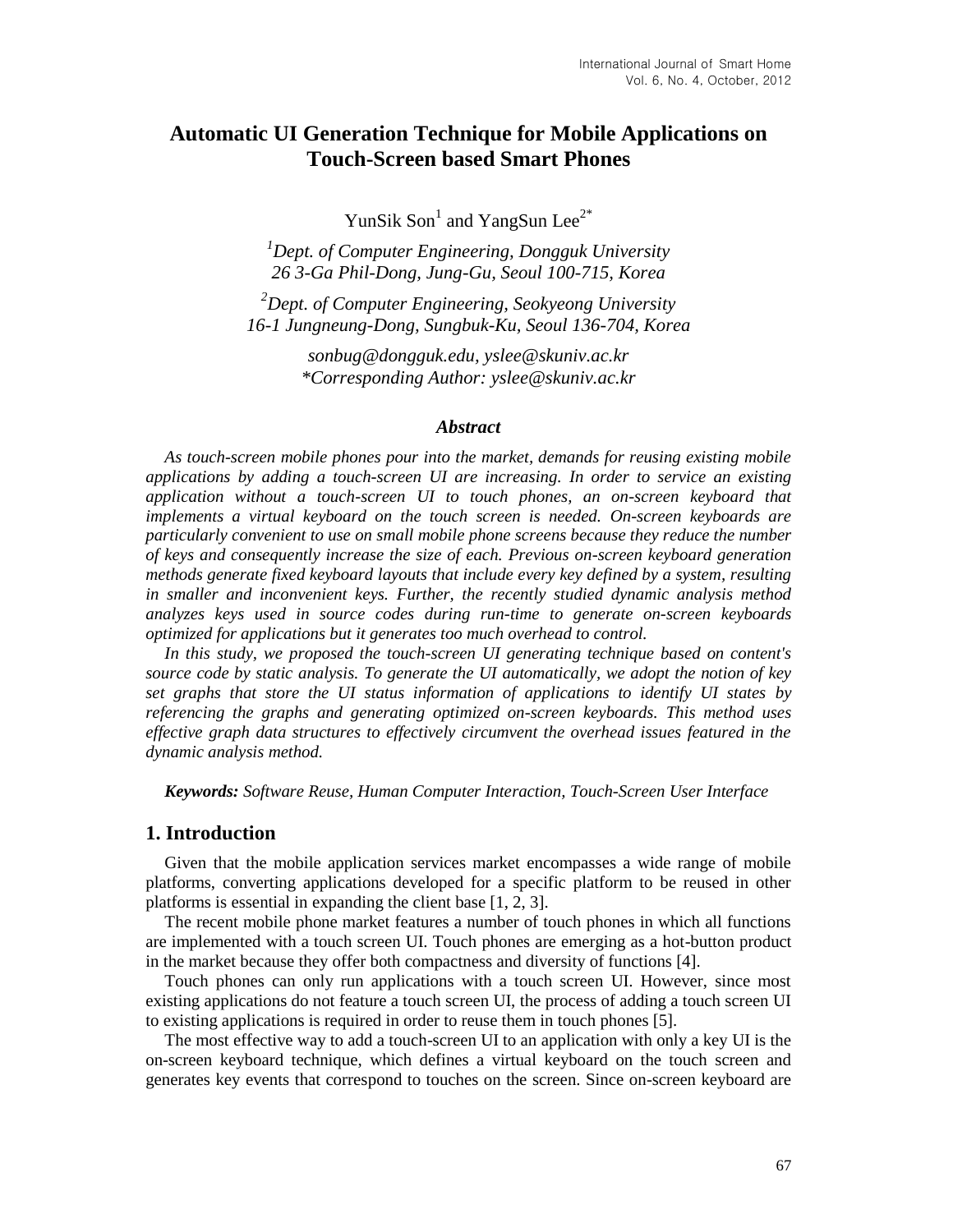# **Automatic UI Generation Technique for Mobile Applications on Touch-Screen based Smart Phones**

YunSik Son<sup>1</sup> and YangSun Lee<sup>2\*</sup>

*<sup>1</sup>Dept. of Computer Engineering, Dongguk University 26 3-Ga Phil-Dong, Jung-Gu, Seoul 100-715, Korea*

*<sup>2</sup>Dept. of Computer Engineering, Seokyeong University 16-1 Jungneung-Dong, Sungbuk-Ku, Seoul 136-704, Korea*

> *sonbug@dongguk.edu, yslee@skuniv.ac.kr \*Corresponding Author: yslee@skuniv.ac.kr*

#### *Abstract*

*As touch-screen mobile phones pour into the market, demands for reusing existing mobile applications by adding a touch-screen UI are increasing. In order to service an existing application without a touch-screen UI to touch phones, an on-screen keyboard that implements a virtual keyboard on the touch screen is needed. On-screen keyboards are particularly convenient to use on small mobile phone screens because they reduce the number of keys and consequently increase the size of each. Previous on-screen keyboard generation methods generate fixed keyboard layouts that include every key defined by a system, resulting in smaller and inconvenient keys. Further, the recently studied dynamic analysis method analyzes keys used in source codes during run-time to generate on-screen keyboards optimized for applications but it generates too much overhead to control.* 

*In this study, we proposed the touch-screen UI generating technique based on content's source code by static analysis. To generate the UI automatically, we adopt the notion of key set graphs that store the UI status information of applications to identify UI states by referencing the graphs and generating optimized on-screen keyboards. This method uses effective graph data structures to effectively circumvent the overhead issues featured in the dynamic analysis method.*

*Keywords: Software Reuse, Human Computer Interaction, Touch-Screen User Interface*

# **1. Introduction**

Given that the mobile application services market encompasses a wide range of mobile platforms, converting applications developed for a specific platform to be reused in other platforms is essential in expanding the client base [1, 2, 3].

The recent mobile phone market features a number of touch phones in which all functions are implemented with a touch screen UI. Touch phones are emerging as a hot-button product in the market because they offer both compactness and diversity of functions [4].

Touch phones can only run applications with a touch screen UI. However, since most existing applications do not feature a touch screen UI, the process of adding a touch screen UI to existing applications is required in order to reuse them in touch phones [5].

The most effective way to add a touch-screen UI to an application with only a key UI is the on-screen keyboard technique, which defines a virtual keyboard on the touch screen and generates key events that correspond to touches on the screen. Since on-screen keyboard are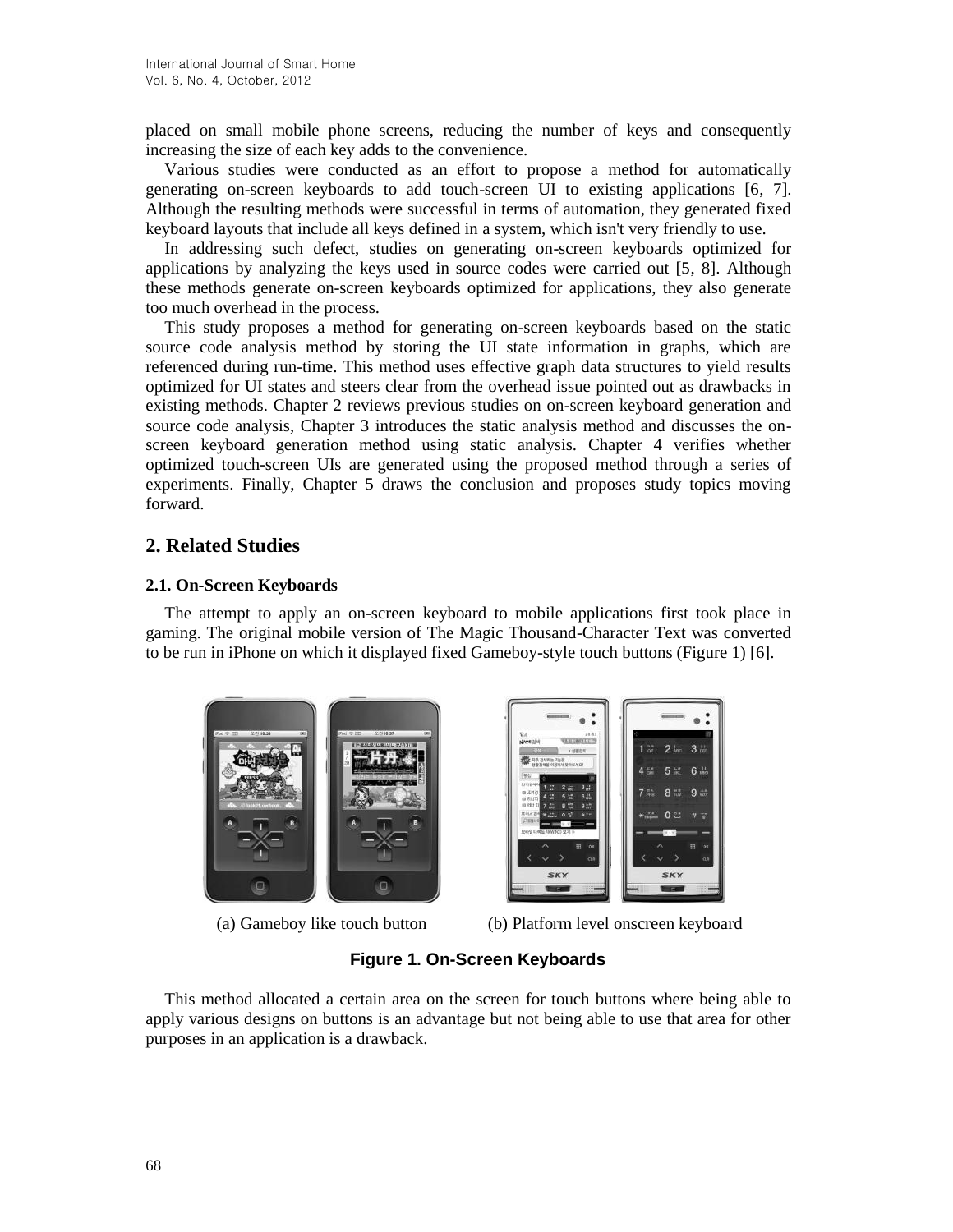placed on small mobile phone screens, reducing the number of keys and consequently increasing the size of each key adds to the convenience.

Various studies were conducted as an effort to propose a method for automatically generating on-screen keyboards to add touch-screen UI to existing applications [6, 7]. Although the resulting methods were successful in terms of automation, they generated fixed keyboard layouts that include all keys defined in a system, which isn't very friendly to use.

In addressing such defect, studies on generating on-screen keyboards optimized for applications by analyzing the keys used in source codes were carried out [5, 8]. Although these methods generate on-screen keyboards optimized for applications, they also generate too much overhead in the process.

This study proposes a method for generating on-screen keyboards based on the static source code analysis method by storing the UI state information in graphs, which are referenced during run-time. This method uses effective graph data structures to yield results optimized for UI states and steers clear from the overhead issue pointed out as drawbacks in existing methods. Chapter 2 reviews previous studies on on-screen keyboard generation and source code analysis, Chapter 3 introduces the static analysis method and discusses the onscreen keyboard generation method using static analysis. Chapter 4 verifies whether optimized touch-screen UIs are generated using the proposed method through a series of experiments. Finally, Chapter 5 draws the conclusion and proposes study topics moving forward.

# **2. Related Studies**

## **2.1. On-Screen Keyboards**

The attempt to apply an on-screen keyboard to mobile applications first took place in gaming. The original mobile version of The Magic Thousand-Character Text was converted to be run in iPhone on which it displayed fixed Gameboy-style touch buttons (Figure 1) [6].



(a) Gameboy like touch button

| 21/11<br>V.4                                                                                 |                                         |
|----------------------------------------------------------------------------------------------|-----------------------------------------|
| <b>LIFE INCREPT PS</b><br>NATE 211<br>354<br>× orantest                                      | 盟<br>2 <sub>ko</sub><br>3 <sup>11</sup> |
| 지주 검색하는 기능은<br>使整治性菌 闪烁地对 型叶纵域空门<br>导位                                                       | 5f<br>5 <sub>1</sub><br>$6 +$<br>4      |
| 인기공색이<br>3,2<br>1.72<br>2.三<br>自送開設<br>6.45<br>ш<br>5 <sup>14</sup><br>(四) 25.(72)           | $8 - 5$<br>' Hit<br>w.<br>9             |
| 89 7921 21<br>9.47<br>8 篇<br>7 三<br><b>京外の百生の</b><br>0 <sup>10</sup><br><b>N</b> AB<br>白布製材具 | $+ -$<br>0 2<br>w                       |
| ENGINEERS ANNACO SET III                                                                     | $-10 - 3$                               |
| 田<br>оs<br>CLR                                                                               | 田<br>OE<br>C1.0                         |
| <b>SKY</b>                                                                                   | <b>SKY</b>                              |

(b) Platform level onscreen keyboard

# **Figure 1. On-Screen Keyboards**

This method allocated a certain area on the screen for touch buttons where being able to apply various designs on buttons is an advantage but not being able to use that area for other purposes in an application is a drawback.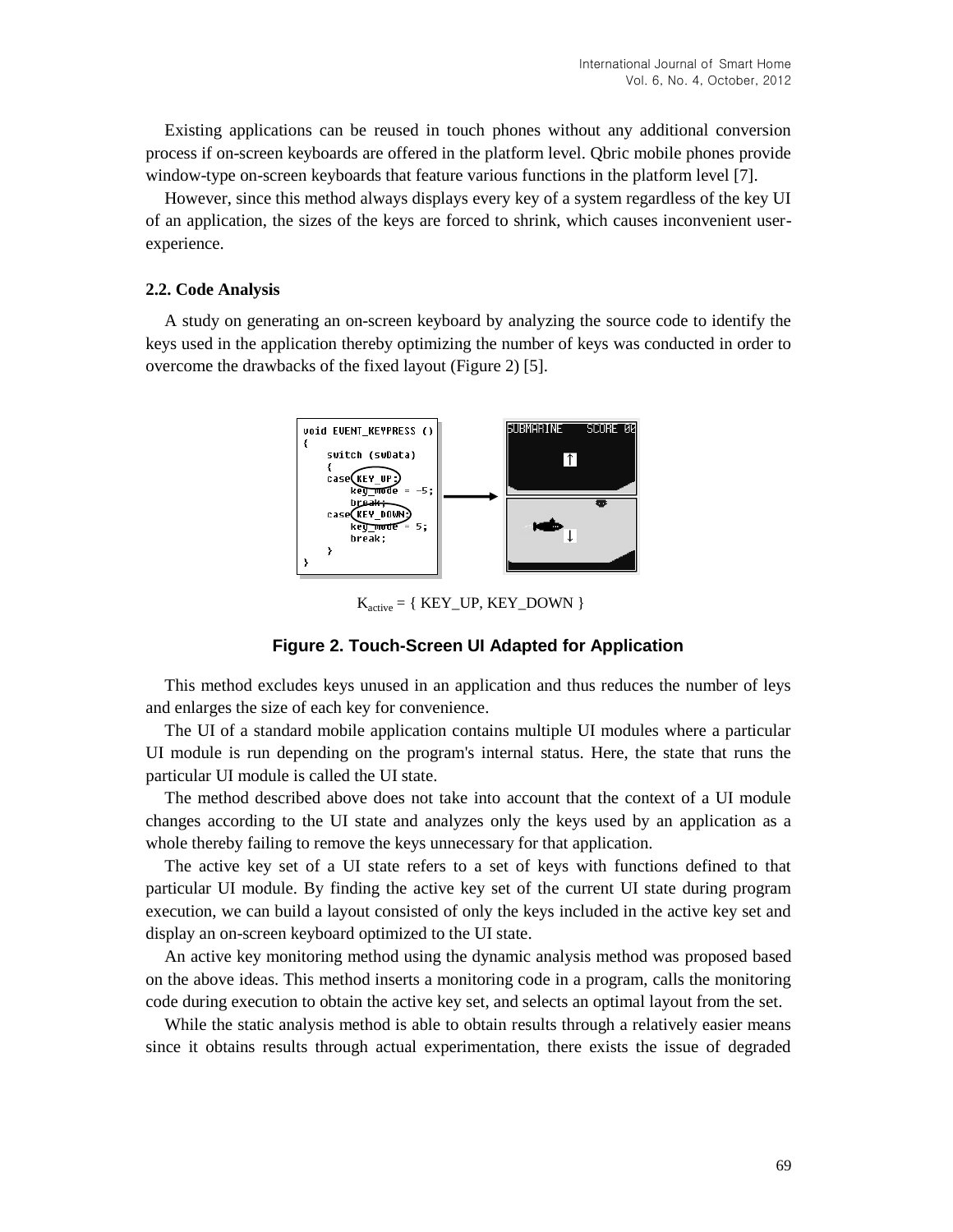Existing applications can be reused in touch phones without any additional conversion process if on-screen keyboards are offered in the platform level. Qbric mobile phones provide window-type on-screen keyboards that feature various functions in the platform level [7].

However, since this method always displays every key of a system regardless of the key UI of an application, the sizes of the keys are forced to shrink, which causes inconvenient userexperience.

#### **2.2. Code Analysis**

A study on generating an on-screen keyboard by analyzing the source code to identify the keys used in the application thereby optimizing the number of keys was conducted in order to overcome the drawbacks of the fixed layout (Figure 2) [5].



 $K_{\text{active}} = \{ \text{ KEY\_UP}, \text{KEY\_DOWN} \}$ 

# **Figure 2. Touch-Screen UI Adapted for Application**

This method excludes keys unused in an application and thus reduces the number of leys and enlarges the size of each key for convenience.

The UI of a standard mobile application contains multiple UI modules where a particular UI module is run depending on the program's internal status. Here, the state that runs the particular UI module is called the UI state.

The method described above does not take into account that the context of a UI module changes according to the UI state and analyzes only the keys used by an application as a whole thereby failing to remove the keys unnecessary for that application.

The active key set of a UI state refers to a set of keys with functions defined to that particular UI module. By finding the active key set of the current UI state during program execution, we can build a layout consisted of only the keys included in the active key set and display an on-screen keyboard optimized to the UI state.

An active key monitoring method using the dynamic analysis method was proposed based on the above ideas. This method inserts a monitoring code in a program, calls the monitoring code during execution to obtain the active key set, and selects an optimal layout from the set.

While the static analysis method is able to obtain results through a relatively easier means since it obtains results through actual experimentation, there exists the issue of degraded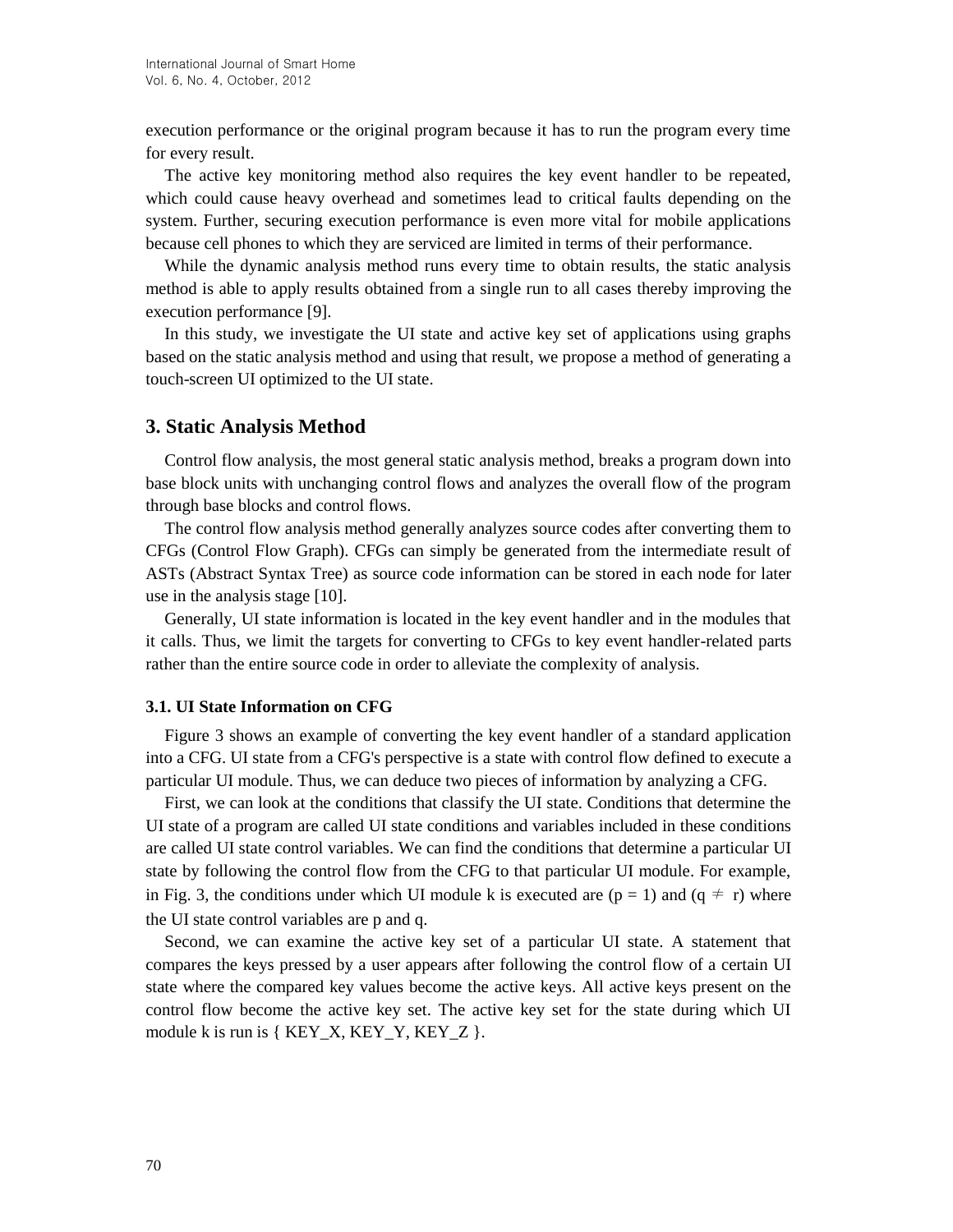execution performance or the original program because it has to run the program every time for every result.

The active key monitoring method also requires the key event handler to be repeated, which could cause heavy overhead and sometimes lead to critical faults depending on the system. Further, securing execution performance is even more vital for mobile applications because cell phones to which they are serviced are limited in terms of their performance.

While the dynamic analysis method runs every time to obtain results, the static analysis method is able to apply results obtained from a single run to all cases thereby improving the execution performance [9].

In this study, we investigate the UI state and active key set of applications using graphs based on the static analysis method and using that result, we propose a method of generating a touch-screen UI optimized to the UI state.

## **3. Static Analysis Method**

Control flow analysis, the most general static analysis method, breaks a program down into base block units with unchanging control flows and analyzes the overall flow of the program through base blocks and control flows.

The control flow analysis method generally analyzes source codes after converting them to CFGs (Control Flow Graph). CFGs can simply be generated from the intermediate result of ASTs (Abstract Syntax Tree) as source code information can be stored in each node for later use in the analysis stage [10].

Generally, UI state information is located in the key event handler and in the modules that it calls. Thus, we limit the targets for converting to CFGs to key event handler-related parts rather than the entire source code in order to alleviate the complexity of analysis.

#### **3.1. UI State Information on CFG**

Figure 3 shows an example of converting the key event handler of a standard application into a CFG. UI state from a CFG's perspective is a state with control flow defined to execute a particular UI module. Thus, we can deduce two pieces of information by analyzing a CFG.

First, we can look at the conditions that classify the UI state. Conditions that determine the UI state of a program are called UI state conditions and variables included in these conditions are called UI state control variables. We can find the conditions that determine a particular UI state by following the control flow from the CFG to that particular UI module. For example, in Fig. 3, the conditions under which UI module k is executed are  $(p = 1)$  and  $(q \neq r)$  where the UI state control variables are p and q.

Second, we can examine the active key set of a particular UI state. A statement that compares the keys pressed by a user appears after following the control flow of a certain UI state where the compared key values become the active keys. All active keys present on the control flow become the active key set. The active key set for the state during which UI module k is run is  $\{ KEY_X, KEY_Y, KEY_Z \}$ .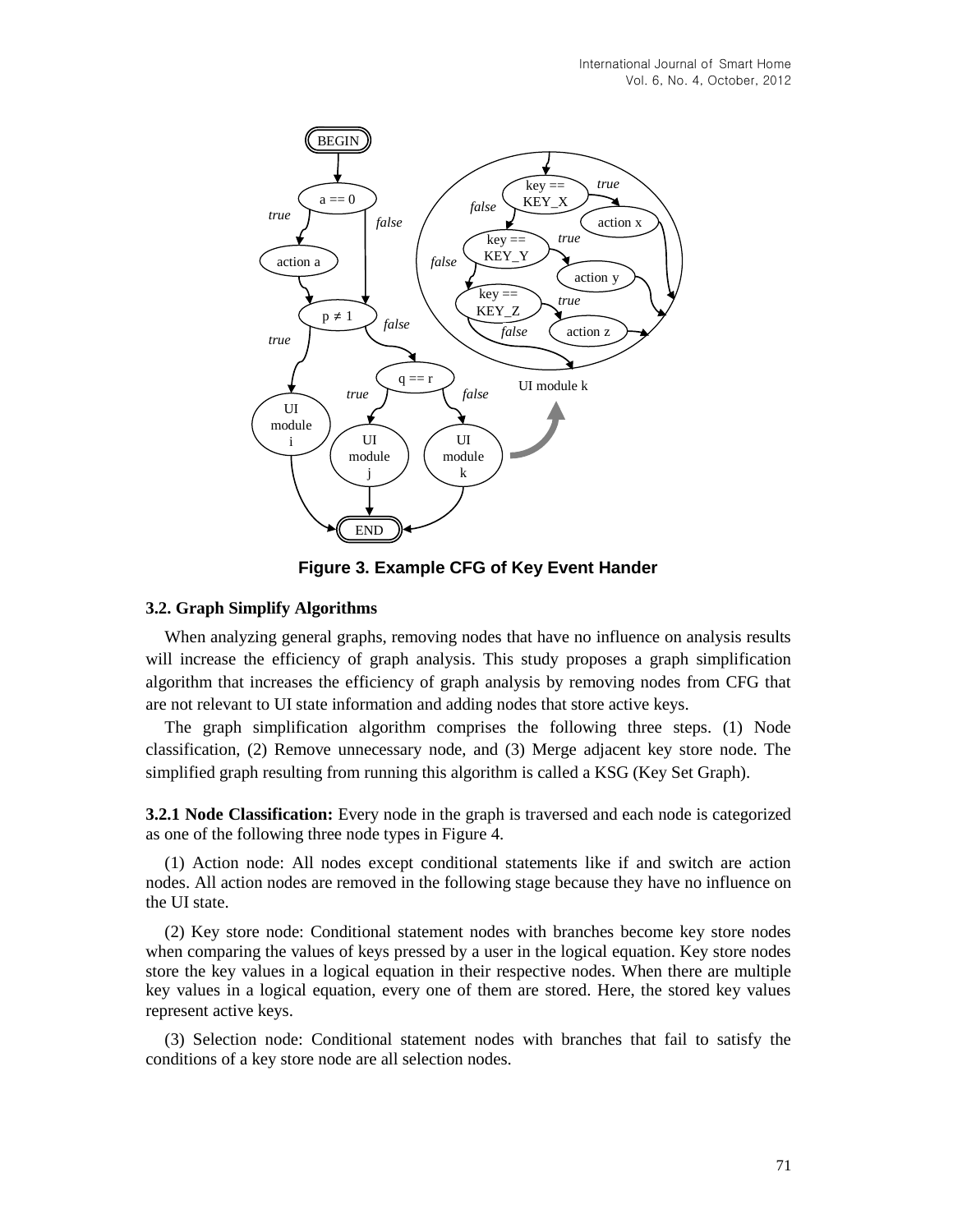

**Figure 3. Example CFG of Key Event Hander**

### **3.2. Graph Simplify Algorithms**

When analyzing general graphs, removing nodes that have no influence on analysis results will increase the efficiency of graph analysis. This study proposes a graph simplification algorithm that increases the efficiency of graph analysis by removing nodes from CFG that are not relevant to UI state information and adding nodes that store active keys.

The graph simplification algorithm comprises the following three steps. (1) Node classification, (2) Remove unnecessary node, and (3) Merge adjacent key store node. The simplified graph resulting from running this algorithm is called a KSG (Key Set Graph).

**3.2.1 Node Classification:** Every node in the graph is traversed and each node is categorized as one of the following three node types in Figure 4.

(1) Action node: All nodes except conditional statements like if and switch are action nodes. All action nodes are removed in the following stage because they have no influence on the UI state.

(2) Key store node: Conditional statement nodes with branches become key store nodes when comparing the values of keys pressed by a user in the logical equation. Key store nodes store the key values in a logical equation in their respective nodes. When there are multiple key values in a logical equation, every one of them are stored. Here, the stored key values represent active keys.

(3) Selection node: Conditional statement nodes with branches that fail to satisfy the conditions of a key store node are all selection nodes.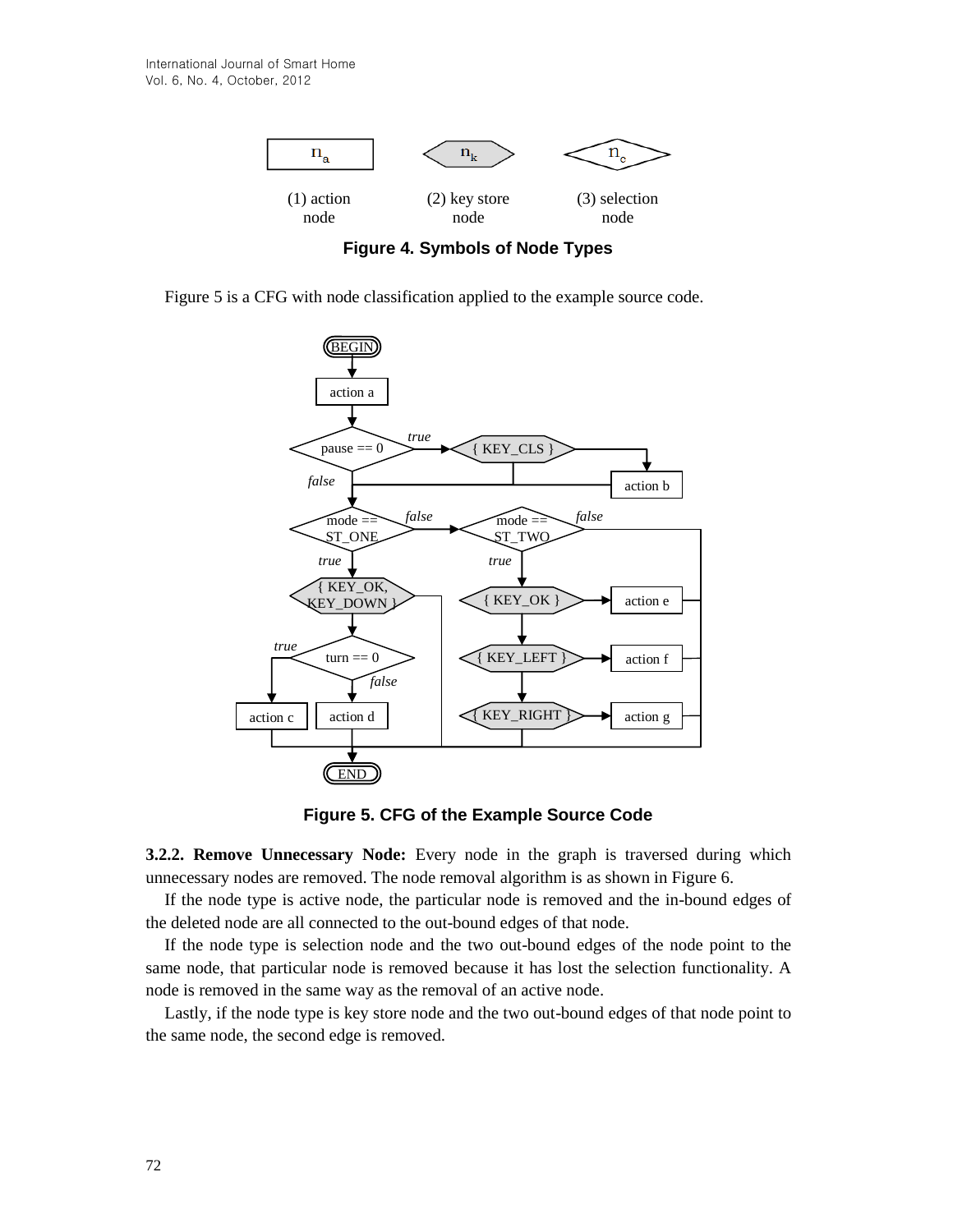

**Figure 4. Symbols of Node Types**

Figure 5 is a CFG with node classification applied to the example source code.



**Figure 5. CFG of the Example Source Code**

**3.2.2. Remove Unnecessary Node:** Every node in the graph is traversed during which unnecessary nodes are removed. The node removal algorithm is as shown in Figure 6.

If the node type is active node, the particular node is removed and the in-bound edges of the deleted node are all connected to the out-bound edges of that node.

If the node type is selection node and the two out-bound edges of the node point to the same node, that particular node is removed because it has lost the selection functionality. A node is removed in the same way as the removal of an active node.

Lastly, if the node type is key store node and the two out-bound edges of that node point to the same node, the second edge is removed.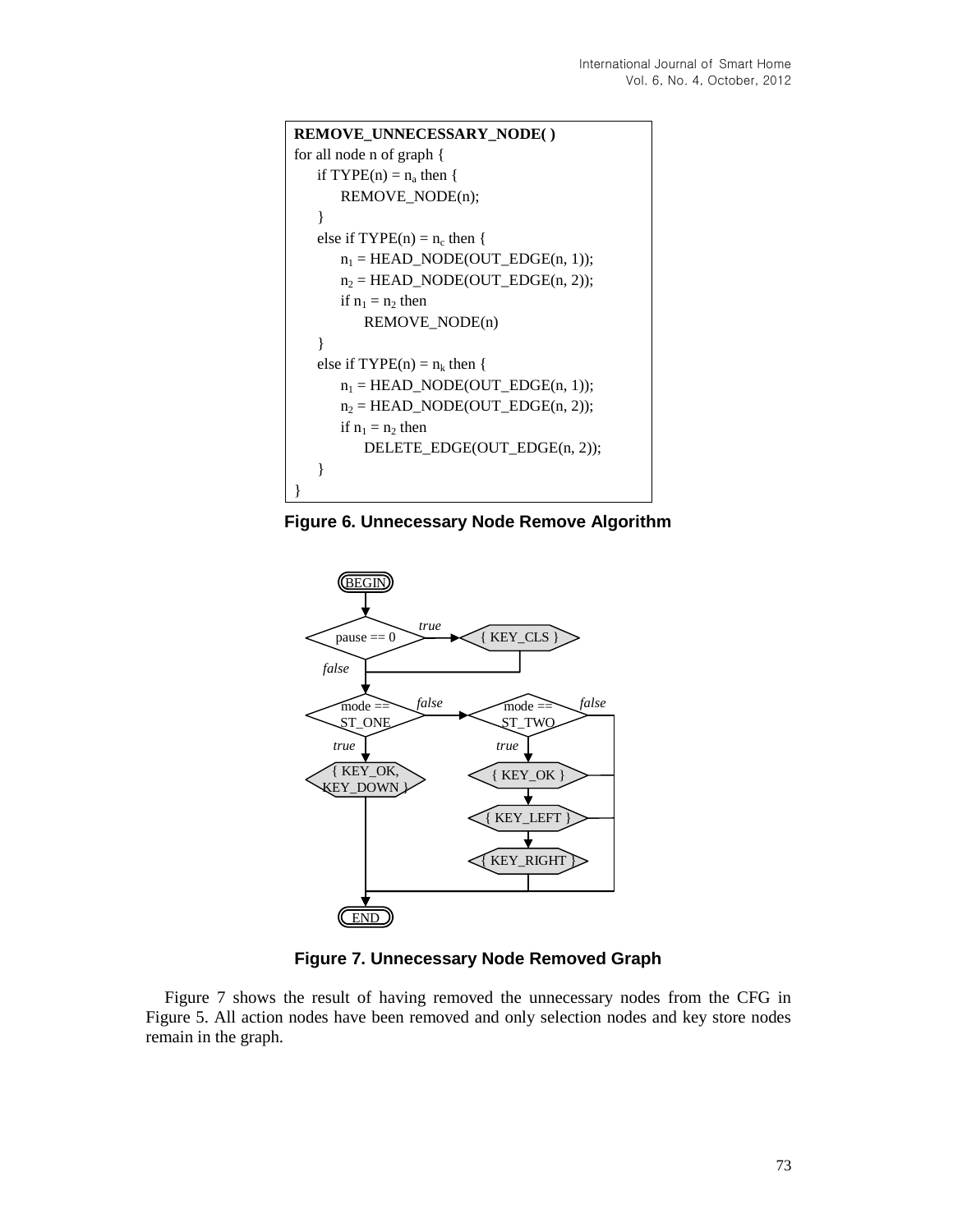```
REMOVE_UNNECESSARY_NODE( )
for all node n of graph {
   if TYPE(n) = n_a then {
      REMOVE_NODE(n);
   }
   else if TYPE(n) = n_c then {
      n_1 = HEAD_NODE(OUT_EDGE(n, 1));
      n_2 = HEAD_NODE(OUT_EDGE(n, 2));
      if n_1 = n_2 then
         REMOVE_NODE(n)
   }
   else if TYPE(n) = n_k then {
      n_1 = HEAD_NODE(OUT_EDGE(n, 1));
      n_2 = HEAD_NODE(OUT_EDGE(n, 2));
      if n_1 = n_2 then
         DELETE_EDGE(OUT_EDGE(n, 2));
   }
}
```
**Figure 6. Unnecessary Node Remove Algorithm**



**Figure 7. Unnecessary Node Removed Graph**

Figure 7 shows the result of having removed the unnecessary nodes from the CFG in Figure 5. All action nodes have been removed and only selection nodes and key store nodes remain in the graph.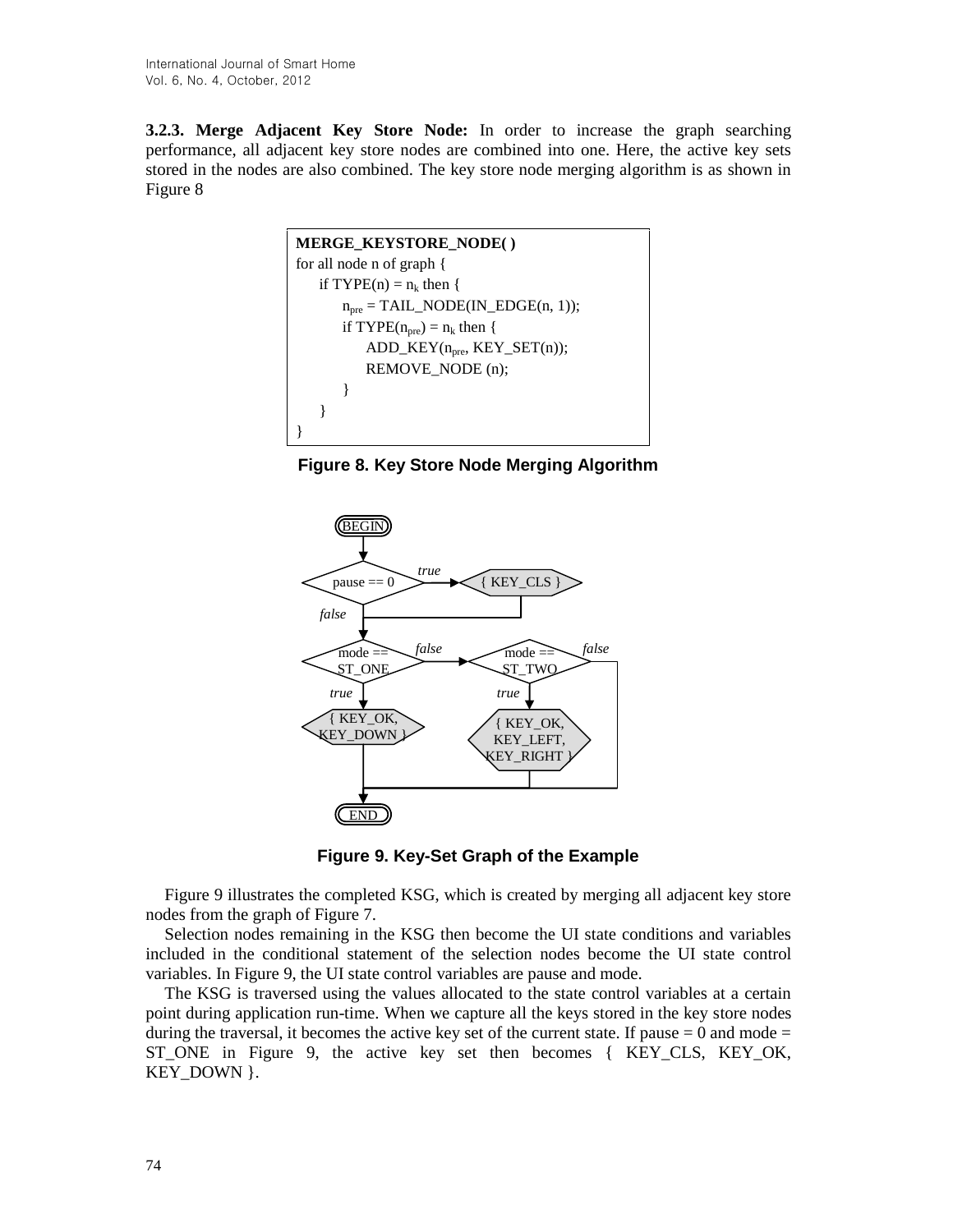**3.2.3. Merge Adjacent Key Store Node:** In order to increase the graph searching performance, all adjacent key store nodes are combined into one. Here, the active key sets stored in the nodes are also combined. The key store node merging algorithm is as shown in Figure 8

```
MERGE_KEYSTORE_NODE( )
for all node n of graph {
   if TYPE(n) = n_k then {
       n_{pre} = TAIL\_NODE(IN\_EDGE(n, 1));if TYPE(n_{pre}) = n_k then {
           ADD<sub>KEY(n<sub>pre</sub>, KEY_SET(n));</sub>
           REMOVE_NODE (n);
       }
   }
}
```
**Figure 8. Key Store Node Merging Algorithm**





Figure 9 illustrates the completed KSG, which is created by merging all adjacent key store nodes from the graph of Figure 7.

Selection nodes remaining in the KSG then become the UI state conditions and variables included in the conditional statement of the selection nodes become the UI state control variables. In Figure 9, the UI state control variables are pause and mode.

The KSG is traversed using the values allocated to the state control variables at a certain point during application run-time. When we capture all the keys stored in the key store nodes during the traversal, it becomes the active key set of the current state. If pause  $= 0$  and mode  $=$ ST\_ONE in Figure 9, the active key set then becomes { KEY\_CLS, KEY\_OK, KEY DOWN }.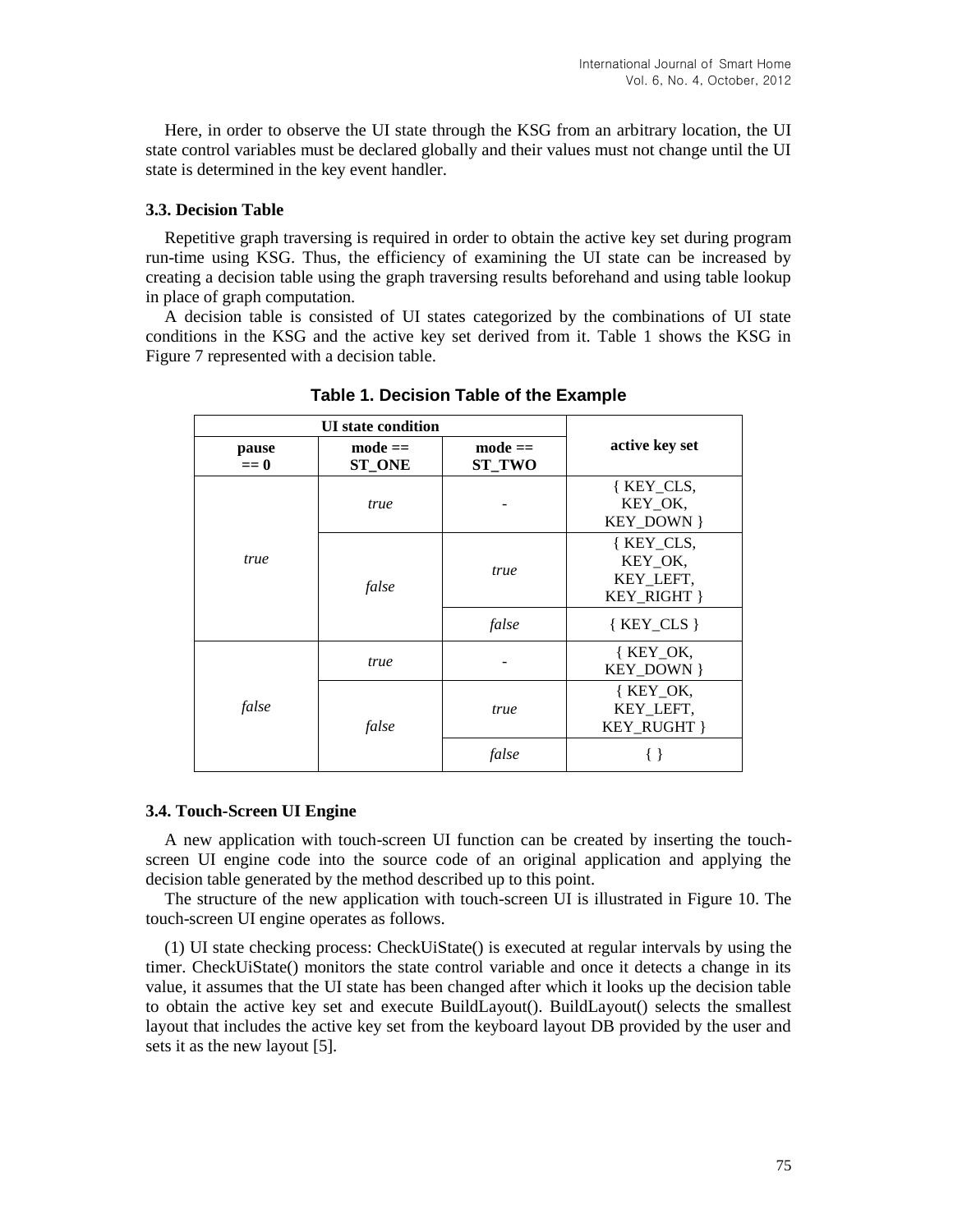Here, in order to observe the UI state through the KSG from an arbitrary location, the UI state control variables must be declared globally and their values must not change until the UI state is determined in the key event handler.

#### **3.3. Decision Table**

Repetitive graph traversing is required in order to obtain the active key set during program run-time using KSG. Thus, the efficiency of examining the UI state can be increased by creating a decision table using the graph traversing results beforehand and using table lookup in place of graph computation.

A decision table is consisted of UI states categorized by the combinations of UI state conditions in the KSG and the active key set derived from it. Table 1 shows the KSG in Figure 7 represented with a decision table.

| <b>UI</b> state condition |                                     |                                     |                                                  |
|---------------------------|-------------------------------------|-------------------------------------|--------------------------------------------------|
| pause<br>$== 0$           | $\textbf{mode} ==$<br><b>ST_ONE</b> | $\textbf{mode} ==$<br><b>ST TWO</b> | active key set                                   |
| true                      | true                                |                                     | { KEY_CLS,<br>KEY_OK,<br>KEY_DOWN }              |
|                           | false                               | true                                | {KEY_CLS,<br>KEY_OK,<br>KEY LEFT,<br>KEY RIGHT } |
|                           |                                     | false                               | ${KEY\_CLS}$                                     |
| false                     | true                                |                                     | $K EY_OK$<br>KEY_DOWN }                          |
|                           | false                               | true                                | {KEY_OK,<br>KEY_LEFT,<br>KEY_RUGHT }             |
|                           |                                     | false                               |                                                  |

**Table 1. Decision Table of the Example**

#### **3.4. Touch-Screen UI Engine**

A new application with touch-screen UI function can be created by inserting the touchscreen UI engine code into the source code of an original application and applying the decision table generated by the method described up to this point.

The structure of the new application with touch-screen UI is illustrated in Figure 10. The touch-screen UI engine operates as follows.

(1) UI state checking process: CheckUiState() is executed at regular intervals by using the timer. CheckUiState() monitors the state control variable and once it detects a change in its value, it assumes that the UI state has been changed after which it looks up the decision table to obtain the active key set and execute BuildLayout(). BuildLayout() selects the smallest layout that includes the active key set from the keyboard layout DB provided by the user and sets it as the new layout [5].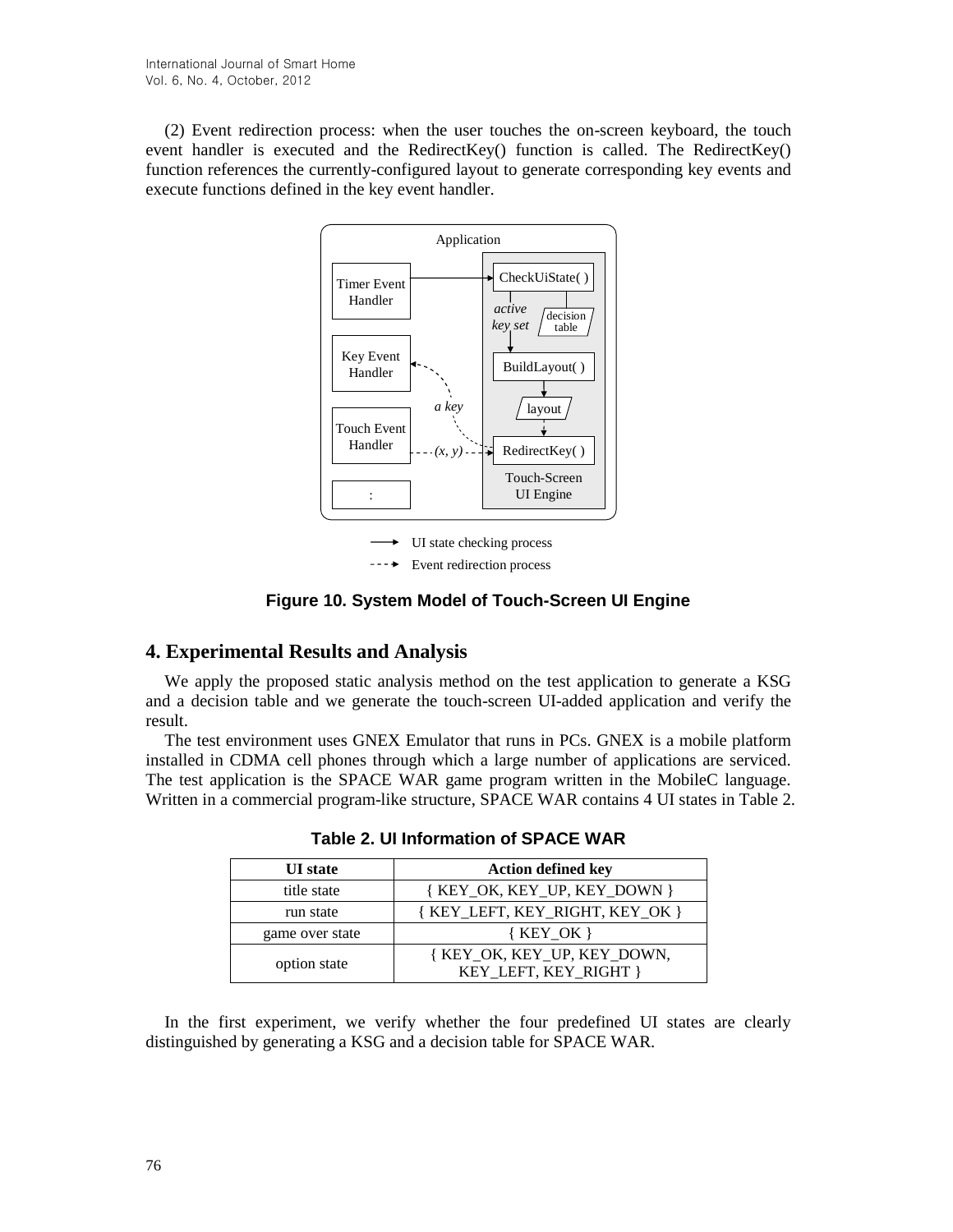(2) Event redirection process: when the user touches the on-screen keyboard, the touch event handler is executed and the RedirectKey() function is called. The RedirectKey() function references the currently-configured layout to generate corresponding key events and execute functions defined in the key event handler.



**Figure 10. System Model of Touch-Screen UI Engine**

# **4. Experimental Results and Analysis**

We apply the proposed static analysis method on the test application to generate a KSG and a decision table and we generate the touch-screen UI-added application and verify the result.

The test environment uses GNEX Emulator that runs in PCs. GNEX is a mobile platform installed in CDMA cell phones through which a large number of applications are serviced. The test application is the SPACE WAR game program written in the MobileC language. Written in a commercial program-like structure, SPACE WAR contains 4 UI states in Table 2.

| <b>UI</b> state | <b>Action defined key</b>                            |  |
|-----------------|------------------------------------------------------|--|
| title state     | { KEY_OK, KEY_UP, KEY_DOWN }                         |  |
| run state       | { KEY_LEFT, KEY_RIGHT, KEY_OK }                      |  |
| game over state | $\{ K EY OK \}$                                      |  |
| option state    | { KEY_OK, KEY_UP, KEY_DOWN,<br>KEY LEFT, KEY RIGHT } |  |

**Table 2. UI Information of SPACE WAR**

In the first experiment, we verify whether the four predefined UI states are clearly distinguished by generating a KSG and a decision table for SPACE WAR.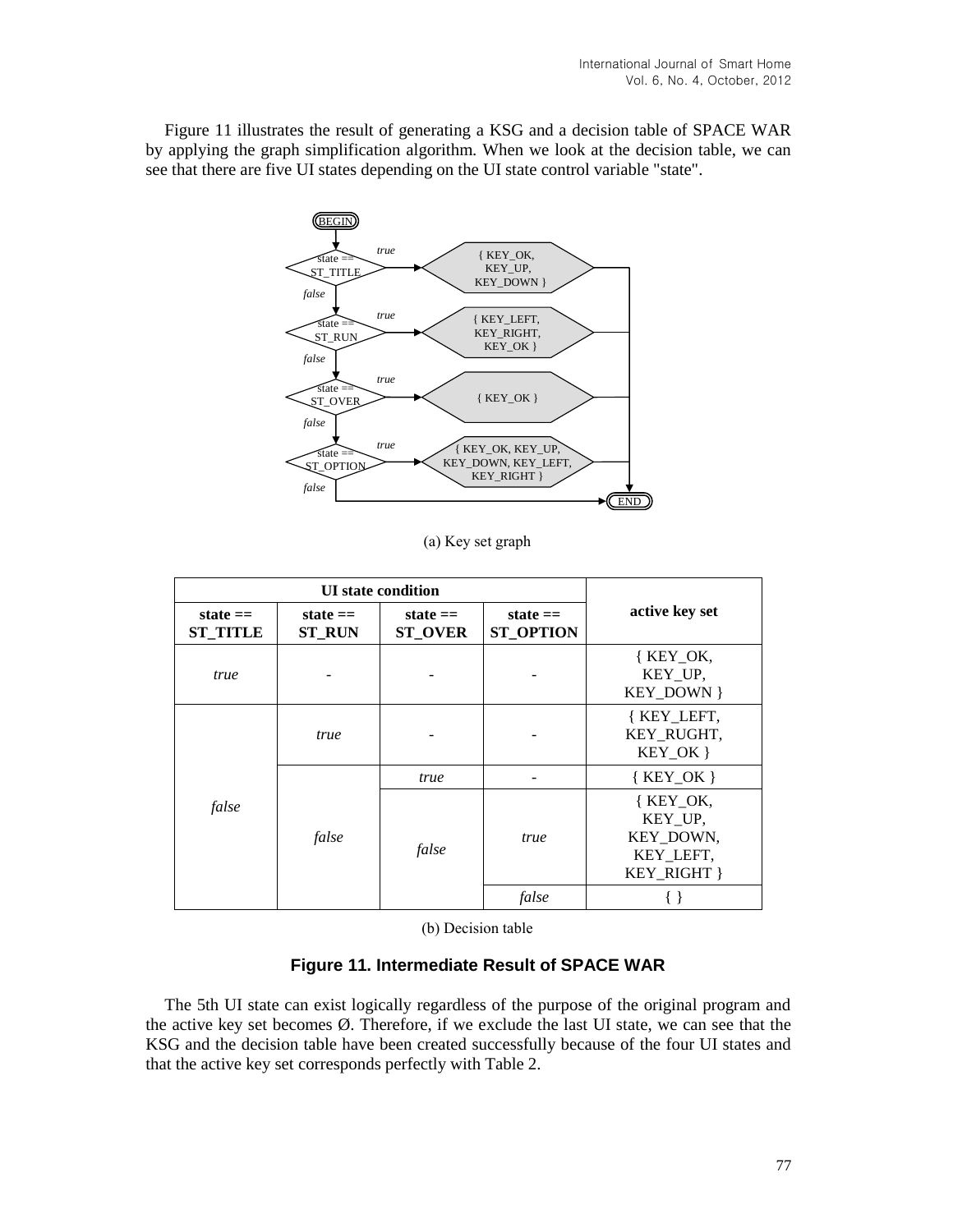Figure 11 illustrates the result of generating a KSG and a decision table of SPACE WAR by applying the graph simplification algorithm. When we look at the decision table, we can see that there are five UI states depending on the UI state control variable "state".



(a) Key set graph

| <b>UI</b> state condition     |                             |                              |                                |                                                               |
|-------------------------------|-----------------------------|------------------------------|--------------------------------|---------------------------------------------------------------|
| state $==$<br><b>ST TITLE</b> | state $==$<br><b>ST RUN</b> | state $==$<br><b>ST_OVER</b> | state $==$<br><b>ST OPTION</b> | active key set                                                |
| true                          |                             |                              |                                | $K EY_0K$<br>KEY UP,<br><b>KEY DOWN }</b>                     |
| false                         | true                        |                              |                                | {KEY_LEFT,<br>KEY RUGHT,<br>KEY OK }                          |
|                               | false                       | true                         |                                | ${KEY_OK}$                                                    |
|                               |                             | false                        | true                           | $K EY_0K$<br>KEY UP,<br>KEY DOWN,<br>KEY LEFT,<br>KEY_RIGHT } |
|                               |                             |                              | false                          |                                                               |

(b) Decision table

### **Figure 11. Intermediate Result of SPACE WAR**

The 5th UI state can exist logically regardless of the purpose of the original program and the active key set becomes  $\emptyset$ . Therefore, if we exclude the last UI state, we can see that the KSG and the decision table have been created successfully because of the four UI states and that the active key set corresponds perfectly with Table 2.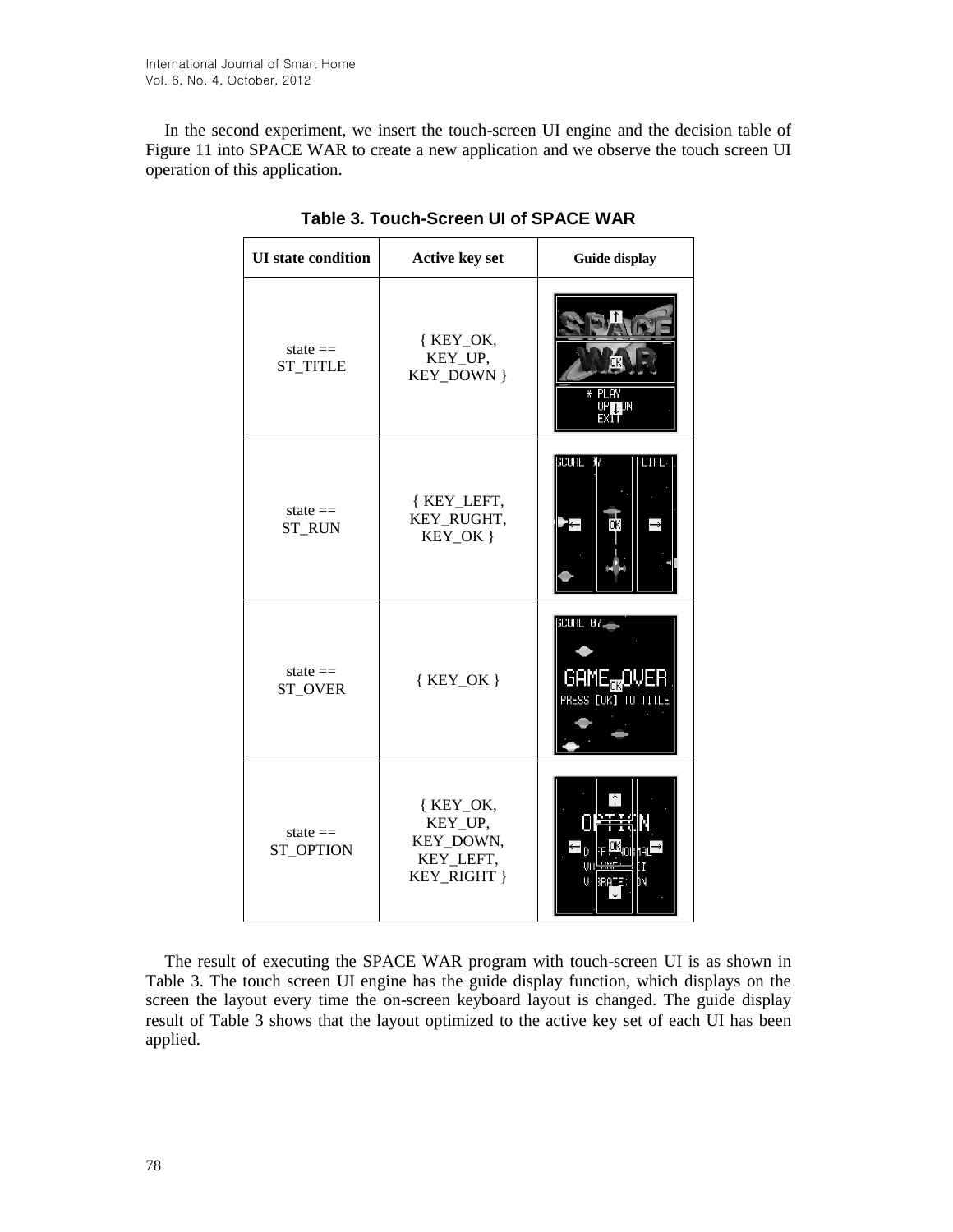In the second experiment, we insert the touch-screen UI engine and the decision table of Figure 11 into SPACE WAR to create a new application and we observe the touch screen UI operation of this application.

| <b>UI</b> state condition     | <b>Active key set</b>                                         | Guide display                                                                     |
|-------------------------------|---------------------------------------------------------------|-----------------------------------------------------------------------------------|
| state $==$<br><b>ST_TITLE</b> | {KEY_OK,<br>KEY_UP,<br>KEY_DOWN }                             | ΟK<br>* PLAY<br>OP <sub>1</sub> pN<br>EXIŤ                                        |
| state $==$<br><b>ST_RUN</b>   | { KEY_LEFT,<br>KEY_RUGHT,<br>KEY_OK }                         | <b>SCURE</b><br>LIFE.<br>ЮK                                                       |
| state $==$<br><b>ST_OVER</b>  | ${KEY_OK}$                                                    | <b>SCURE <math>97-</math></b><br>game <sub>ox</sub> over<br>PRESS $[0K]$ to title |
| state $==$<br>ST_OPTION       | { KEY_OK,<br>KEY_UP,<br>KEY_DOWN,<br>KEY_LEFT,<br>KEY_RIGHT } | legn:<br>IΝ                                                                       |

**Table 3. Touch-Screen UI of SPACE WAR**

The result of executing the SPACE WAR program with touch-screen UI is as shown in Table 3. The touch screen UI engine has the guide display function, which displays on the screen the layout every time the on-screen keyboard layout is changed. The guide display result of Table 3 shows that the layout optimized to the active key set of each UI has been applied.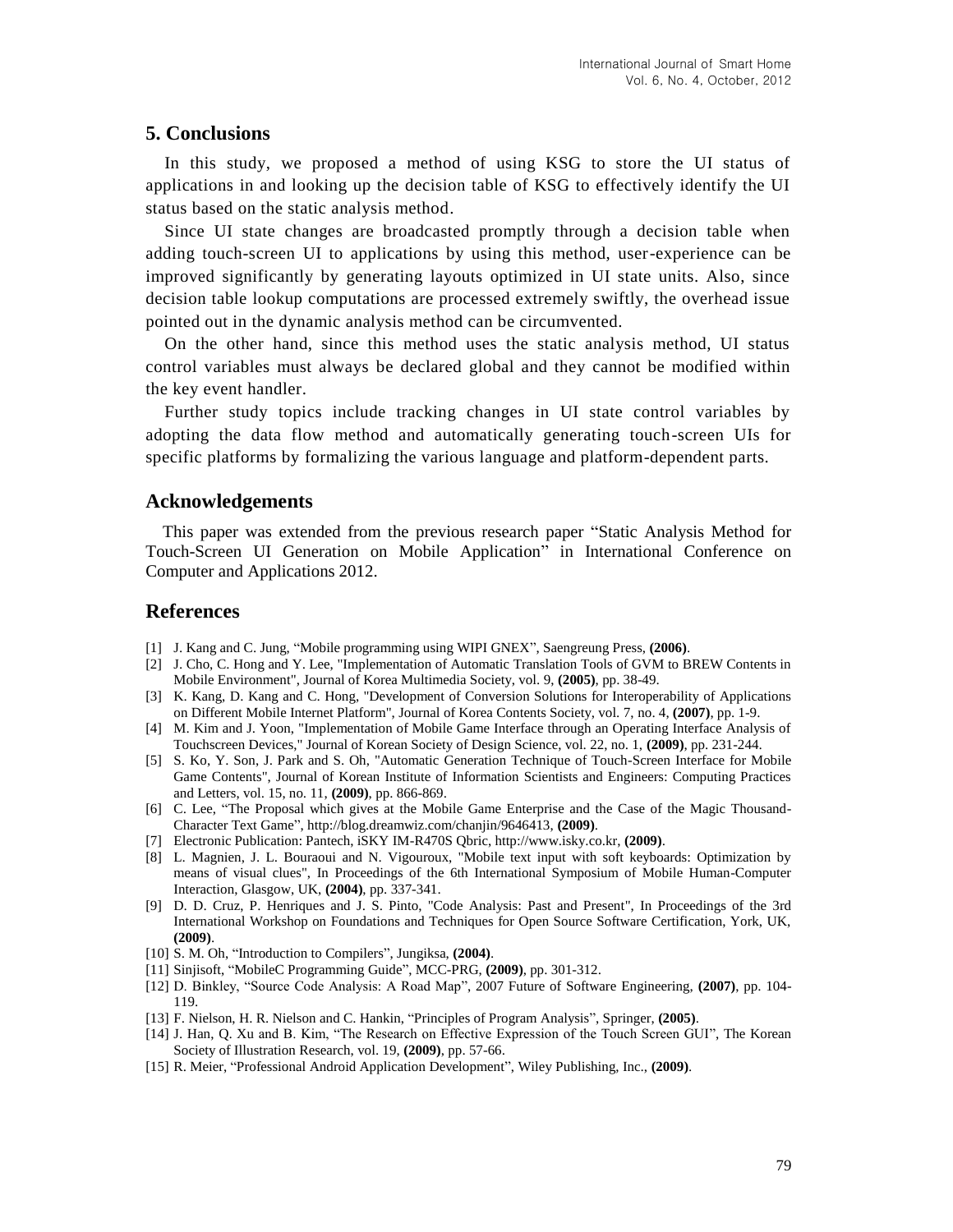# **5. Conclusions**

In this study, we proposed a method of using KSG to store the UI status of applications in and looking up the decision table of KSG to effectively identify the UI status based on the static analysis method.

Since UI state changes are broadcasted promptly through a decision table when adding touch-screen UI to applications by using this method, user-experience can be improved significantly by generating layouts optimized in UI state units. Also, since decision table lookup computations are processed extremely swiftly, the overhead issue pointed out in the dynamic analysis method can be circumvented.

On the other hand, since this method uses the static analysis method, UI status control variables must always be declared global and they cannot be modified within the key event handler.

Further study topics include tracking changes in UI state control variables by adopting the data flow method and automatically generating touch-screen UIs for specific platforms by formalizing the various language and platform-dependent parts.

### **Acknowledgements**

This paper was extended from the previous research paper "Static Analysis Method for Touch-Screen UI Generation on Mobile Application" in International Conference on Computer and Applications 2012.

### **References**

- [1] J. Kang and C. Jung, "Mobile programming using WIPI GNEX", Saengreung Press, **(2006)**.
- [2] J. Cho, C. Hong and Y. Lee, "Implementation of Automatic Translation Tools of GVM to BREW Contents in Mobile Environment", Journal of Korea Multimedia Society, vol. 9, **(2005)**, pp. 38-49.
- [3] K. Kang, D. Kang and C. Hong, "Development of Conversion Solutions for Interoperability of Applications on Different Mobile Internet Platform", Journal of Korea Contents Society, vol. 7, no. 4, **(2007)**, pp. 1-9.
- [4] M. Kim and J. Yoon, "Implementation of Mobile Game Interface through an Operating Interface Analysis of Touchscreen Devices," Journal of Korean Society of Design Science, vol. 22, no. 1, **(2009)**, pp. 231-244.
- [5] S. Ko, Y. Son, J. Park and S. Oh, "Automatic Generation Technique of Touch-Screen Interface for Mobile Game Contents", Journal of Korean Institute of Information Scientists and Engineers: Computing Practices and Letters, vol. 15, no. 11, **(2009)**, pp. 866-869.
- [6] C. Lee, "The Proposal which gives at the Mobile Game Enterprise and the Case of the Magic Thousand-Character Text Game", http://blog.dreamwiz.com/chanjin/9646413, **(2009)**.
- [7] Electronic Publication: Pantech, iSKY IM-R470S Qbric, http://www.isky.co.kr, **(2009)**.
- [8] L. Magnien, J. L. Bouraoui and N. Vigouroux, "Mobile text input with soft keyboards: Optimization by means of visual clues", In Proceedings of the 6th International Symposium of Mobile Human-Computer Interaction, Glasgow, UK, **(2004)**, pp. 337-341.
- [9] D. D. Cruz, P. Henriques and J. S. Pinto, "Code Analysis: Past and Present", In Proceedings of the 3rd International Workshop on Foundations and Techniques for Open Source Software Certification, York, UK, **(2009)**.
- [10] S. M. Oh, "Introduction to Compilers", Jungiksa, **(2004)**.
- [11] Sinjisoft, "MobileC Programming Guide", MCC-PRG, **(2009)**, pp. 301-312.
- [12] D. Binkley, "Source Code Analysis: A Road Map", 2007 Future of Software Engineering, **(2007)**, pp. 104- 119.
- [13] F. Nielson, H. R. Nielson and C. Hankin, "Principles of Program Analysis", Springer, **(2005)**.
- [14] J. Han, Q. Xu and B. Kim, "The Research on Effective Expression of the Touch Screen GUI", The Korean Society of Illustration Research, vol. 19, **(2009)**, pp. 57-66.
- [15] R. Meier, "Professional Android Application Development", Wiley Publishing, Inc., **(2009)**.